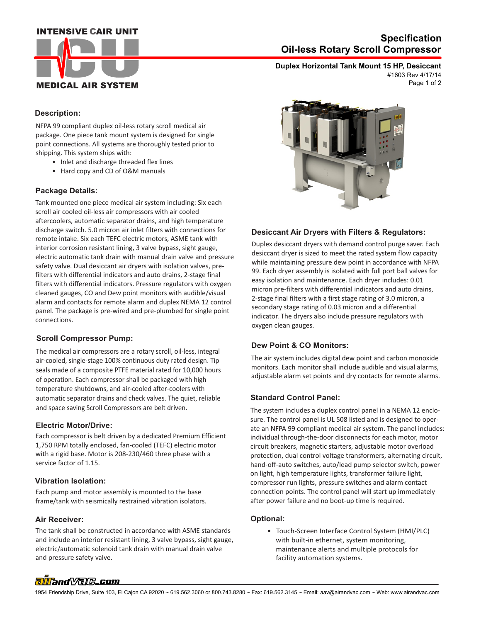## **INTENSIVE CAIR UNIT**



# **Oil-less Rotary Scroll Compressor Specification**

**Duplex Horizontal Tank Mount 15 HP, Desiccant** Page 1 of 2 #1603 Rev 4/17/14

### **Description:**

NFPA 99 compliant duplex oil-less rotary scroll medical air package. One piece tank mount system is designed for single point connections. All systems are thoroughly tested prior to shipping. This system ships with:

- Inlet and discharge threaded flex lines
- Hard copy and CD of O&M manuals

#### **Package Details:**

Tank mounted one piece medical air system including: Six each scroll air cooled oil-less air compressors with air cooled aftercoolers, automatic separator drains, and high temperature discharge switch. 5.0 micron air inlet filters with connections for remote intake. Six each TEFC electric motors, ASME tank with interior corrosion resistant lining, 3 valve bypass, sight gauge, electric automatic tank drain with manual drain valve and pressure safety valve. Dual desiccant air dryers with isolation valves, prefilters with differential indicators and auto drains, 2-stage final filters with differential indicators. Pressure regulators with oxygen cleaned gauges, CO and Dew point monitors with audible/visual alarm and contacts for remote alarm and duplex NEMA 12 control panel. The package is pre-wired and pre-plumbed for single point connections.

## **Scroll Compressor Pump:**

The medical air compressors are a rotary scroll, oil-less, integral air-cooled, single-stage 100% continuous duty rated design. Tip seals made of a composite PTFE material rated for 10,000 hours of operation. Each compressor shall be packaged with high temperature shutdowns, and air-cooled after-coolers with automatic separator drains and check valves. The quiet, reliable and space saving Scroll Compressors are belt driven.

#### **Electric Motor/Drive:**

Each compressor is belt driven by a dedicated Premium Efficient 1,750 RPM totally enclosed, fan-cooled (TEFC) electric motor with a rigid base. Motor is 208-230/460 three phase with a service factor of 1.15.

#### **Vibration Isolation:**

Each pump and motor assembly is mounted to the base frame/tank with seismically restrained vibration isolators.

#### **Air Receiver:**

 and pressure safety valve. The tank shall be constructed in accordance with ASME standards and include an interior resistant lining, 3 valve bypass, sight gauge, electric/automatic solenoid tank drain with manual drain valve



## **Desiccant Air Dryers with Filters & Regulators:**

Duplex desiccant dryers with demand control purge saver. Each desiccant dryer is sized to meet the rated system flow capacity while maintaining pressure dew point in accordance with NFPA 99. Each dryer assembly is isolated with full port ball valves for easy isolation and maintenance. Each dryer includes: 0.01 micron pre-filters with differential indicators and auto drains, 2-stage final filters with a first stage rating of 3.0 micron, a secondary stage rating of 0.03 micron and a differential indicator. The dryers also include pressure regulators with oxygen clean gauges.

#### **Dew Point & CO Monitors:**

The air system includes digital dew point and carbon monoxide monitors. Each monitor shall include audible and visual alarms, adjustable alarm set points and dry contacts for remote alarms.

#### **Standard Control Panel:**

The system includes a duplex control panel in a NEMA 12 enclosure. The control panel is UL 508 listed and is designed to operate an NFPA 99 compliant medical air system. The panel includes: individual through-the-door disconnects for each motor, motor circuit breakers, magnetic starters, adjustable motor overload protection, dual control voltage transformers, alternating circuit, hand-off-auto switches, auto/lead pump selector switch, power on light, high temperature lights, transformer failure light, compressor run lights, pressure switches and alarm contact connection points. The control panel will start up immediately after power failure and no boot-up time is required.

#### **Optional:**

 • Touch-Screen Interface Control System (HMI/PLC) with built-in ethernet, system monitoring, maintenance alerts and multiple protocols for facility automation systems.

# alland Vale\_com

1954 Friendship Drive, Suite 103, El Cajon CA 92020 ~ 619.562.3060 or 800.743.8280 ~ Fax: 619.562.3145 ~ Email: aav@airandvac.com ~ Web: www.airandvac.com